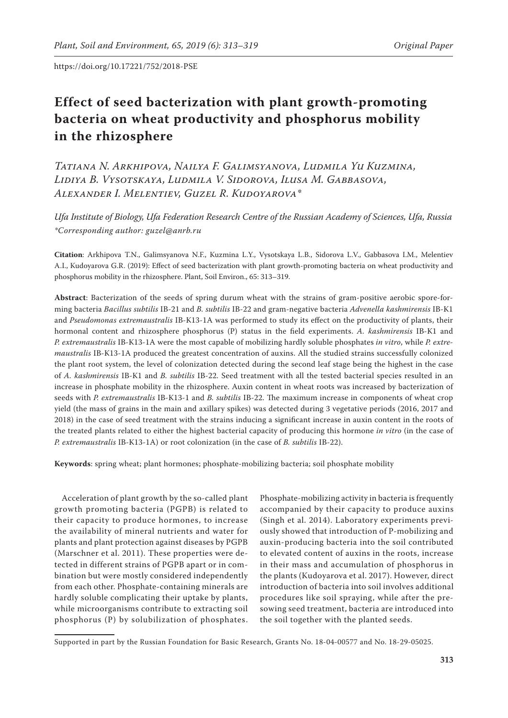# **Effect of seed bacterization with plant growth-promoting bacteria on wheat productivity and phosphorus mobility in the rhizosphere**

*Tatiana N. Arkhipova, Nailya F. Galimsyanova, Ludmila Yu Kuzmina, Lidiya B. Vysotskaya, Ludmila V. Sidorova, Ilusa M. Gabbasova, Alexander I. Melentiev, Guzel R. Kudoyarova\**

*Ufa Institute of Biology, Ufa Federation Research Centre of the Russian Academy of Sciences, Ufa, Russia \*Corresponding author: guzel@anrb.ru*

**Citation**: Arkhipova T.N., Galimsyanova N.F., Kuzmina L.Y., Vysotskaya L.B., Sidorova L.V., Gabbasova I.M., Melentiev A.I., Kudoyarova G.R. (2019): Effect of seed bacterization with plant growth-promoting bacteria on wheat productivity and phosphorus mobility in the rhizosphere. Plant, Soil Environ., 65: 313–319.

**Abstract**: Bacterization of the seeds of spring durum wheat with the strains of gram-positive aerobic spore-forming bacteria *Bacillus subtilis* IB-21 and *B. subtilis* IB-22 and gram-negative bacteria *Advenella kashmirensis* IB-К1 and *Pseudomonas extremaustralis* IB-К13-1А was performed to study its effect on the productivity of plants, their hormonal content and rhizosphere phosphorus (P) status in the field experiments. *A. kashmirensis* IB-К1 and *P. extremaustralis* IB-К13-1А were the most capable of mobilizing hardly soluble phosphates *in vitro*, while *P. extremaustralis* IB-К13-1А produced the greatest concentration of auxins. All the studied strains successfully colonized the plant root system, the level of colonization detected during the second leaf stage being the highest in the case of *A. kashmirensis* IB-К1 and *B. subtilis* IB-22. Seed treatment with all the tested bacterial species resulted in an increase in phosphate mobility in the rhizosphere. Auxin content in wheat roots was increased by bacterization of seeds with *P. extremaustralis* IB-К13-1 and *B. subtilis* IB-22. The maximum increase in components of wheat crop yield (the mass of grains in the main and axillary spikes) was detected during 3 vegetative periods (2016, 2017 and 2018) in the case of seed treatment with the strains inducing a significant increase in auxin content in the roots of the treated plants related to either the highest bacterial capacity of producing this hormone *in vitro* (in the case of *P. extremaustralis* IB-К13-1А) or root colonization (in the case of *B. subtilis* IB-22).

**Keywords**: spring wheat; plant hormones; phosphate-mobilizing bacteria; soil phosphate mobility

Acceleration of plant growth by the so-called plant growth promoting bacteria (PGPB) is related to their capacity to produce hormones, to increase the availability of mineral nutrients and water for plants and plant protection against diseases by PGPB (Marschner et al. 2011). These properties were detected in different strains of PGPB apart or in combination but were mostly considered independently from each other. Phosphate-containing minerals are hardly soluble complicating their uptake by plants, while microorganisms contribute to extracting soil phosphorus (P) by solubilization of phosphates.

Phosphate-mobilizing activity in bacteria is frequently accompanied by their capacity to produce auxins (Singh et al. 2014). Laboratory experiments previously showed that introduction of P-mobilizing and auxin-producing bacteria into the soil contributed to elevated content of auxins in the roots, increase in their mass and accumulation of phosphorus in the plants (Kudoyarova et al. 2017). However, direct introduction of bacteria into soil involves additional procedures like soil spraying, while after the presowing seed treatment, bacteria are introduced into the soil together with the planted seeds.

Supported in part by the Russian Foundation for Basic Research, Grants No. 18-04-00577 and No. 18-29-05025.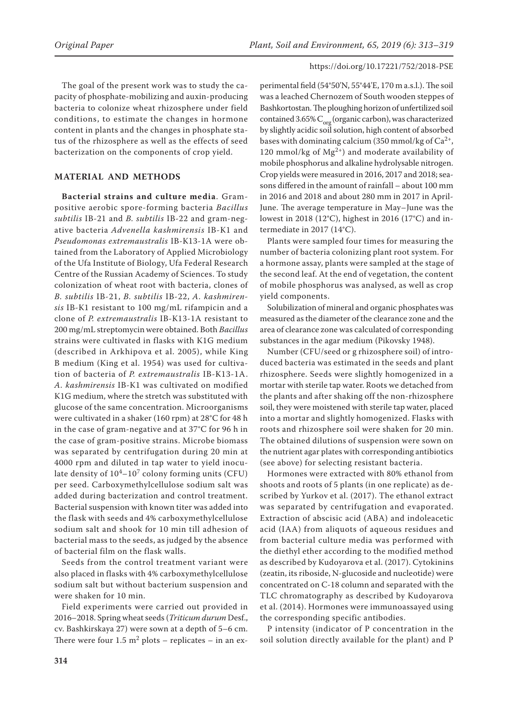The goal of the present work was to study the capacity of phosphate-mobilizing and auxin-producing bacteria to colonize wheat rhizosphere under field conditions, to estimate the changes in hormone content in plants and the changes in phosphate status of the rhizosphere as well as the effects of seed bacterization on the components of crop yield.

# **MATERIAL AND METHODS**

**Bacterial strains and culture media**. Grampositive aerobic spore-forming bacteria *Bacillus subtilis* IB-21 and *B. subtilis* IB-22 and gram-negative bacteria *Advenella kashmirensis* IB-К1 and *Pseudomonas extremaustralis* IB-К13-1А were obtained from the Laboratory of Applied Microbiology of the Ufa Institute of Biology, Ufa Federal Research Centre of the Russian Academy of Sciences. To study colonization of wheat root with bacteria, clones of *B. subtilis* IB-21, *B. subtilis* IB-22, *A. kashmirensis* IB-К1 resistant to 100 mg/mL rifampicin and a clone of *P. extremaustralis* IB-К13-1А resistant to 200 mg/mL streptomycin were obtained. Both *Bacillus* strains were cultivated in flasks with K1G medium (described in Arkhipova et al. 2005), while King B medium (King et al. 1954) was used for cultivation of bacteria of *P. extremaustralis* IB-К13-1A. *A. kashmirensis* IB-К1 was cultivated on modified K1G medium, where the stretch was substituted with glucose of the same concentration. Microorganisms were cultivated in a shaker (160 rpm) at 28°C for 48 h in the case of gram-negative and at 37°C for 96 h in the case of gram-positive strains. Microbe biomass was separated by centrifugation during 20 min at 4000 rpm and diluted in tap water to yield inoculate density of  $10^4$ – $10^7$  colony forming units (CFU) per seed. Carboxymethylcellulose sodium salt was added during bacterization and control treatment. Bacterial suspension with known titer was added into the flask with seeds and 4% carboxymethylcellulose sodium salt and shook for 10 min till adhesion of bacterial mass to the seeds, as judged by the absence of bacterial film on the flask walls.

Seeds from the control treatment variant were also placed in flasks with 4% carboxymethylcellulose sodium salt but without bacterium suspension and were shaken for 10 min.

Field experiments were carried out provided in 2016–2018. Spring wheat seeds (*Triticum durum* Desf., cv. Bashkirskaya 27) were sown at a depth of 5–6 cm. There were four  $1.5 \text{ m}^2$  plots – replicates – in an ex-

perimental field (54°50'N, 55°44'E, 170 m a.s.l.). The soil was a leached Chernozem of South wooden steppes of Bashkortostan. The ploughing horizon of unfertilized soil contained 3.65%  $C_{\text{org}}$  (organic carbon), was characterized by slightly acidic soil solution, high content of absorbed bases with dominating calcium (350 mmol/kg of  $Ca^{2+}$ , 120 mmol/kg of  $Mg^{2+}$ ) and moderate availability of mobile phosphorus and alkaline hydrolysable nitrogen. Crop yields were measured in 2016, 2017 and 2018; seasons differed in the amount of rainfall – about 100 mm in 2016 and 2018 and about 280 mm in 2017 in April-June. The average temperature in May–June was the lowest in 2018 (12°C), highest in 2016 (17°C) and intermediate in 2017 (14°C).

Plants were sampled four times for measuring the number of bacteria colonizing plant root system. For a hormone assay, plants were sampled at the stage of the second leaf. At the end of vegetation, the content of mobile phosphorus was analysed, as well as crop yield components.

Solubilization of mineral and organic phosphates was measured as the diameter of the clearance zone and the area of clearance zone was calculated of corresponding substances in the agar medium (Pikovsky 1948).

Number (CFU/seed or g rhizosphere soil) of introduced bacteria was estimated in the seeds and plant rhizosphere. Seeds were slightly homogenized in a mortar with sterile tap water. Roots we detached from the plants and after shaking off the non-rhizosphere soil, they were moistened with sterile tap water, placed into a mortar and slightly homogenized. Flasks with roots and rhizosphere soil were shaken for 20 min. The obtained dilutions of suspension were sown on the nutrient agar plates with corresponding antibiotics (see above) for selecting resistant bacteria.

Hormones were extracted with 80% ethanol from shoots and roots of 5 plants (in one replicate) as described by Yurkov et al. (2017). The ethanol extract was separated by centrifugation and evaporated. Extraction of abscisic acid (ABA) and indoleacetic acid (IAA) from aliquots of aqueous residues and from bacterial culture media was performed with the diethyl ether according to the modified method as described by Kudoyarova et al. (2017). Cytokinins (zeatin, its riboside, N-glucoside and nucleotide) were concentrated on C-18 column and separated with the TLC chromatography as described by Kudoyarova et al. (2014). Hormones were immunoassayed using the corresponding specific antibodies.

P intensity (indicator of P concentration in the soil solution directly available for the plant) and P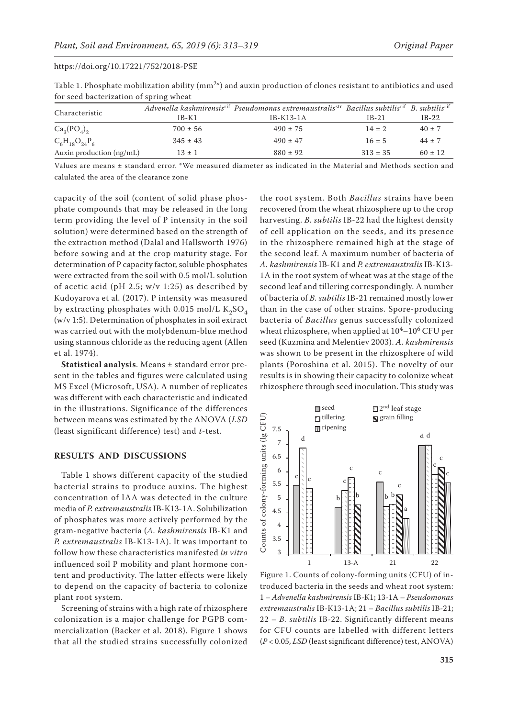|                          |              | Advenella kashmirensis <sup>rif</sup> Pseudomonas extremaustralis <sup>str</sup> Bacillus subtilis <sup>rif</sup> B. subtilis <sup>rif</sup> |              |             |  |  |  |  |  |  |
|--------------------------|--------------|----------------------------------------------------------------------------------------------------------------------------------------------|--------------|-------------|--|--|--|--|--|--|
| Characteristic           | $IB-K1$      | $IB-K13-1A$                                                                                                                                  | $IB-21$      | $IB-22$     |  |  |  |  |  |  |
| $Ca_3(PO_4)_2$           | $700 \pm 56$ | $490 \pm 75$                                                                                                                                 | $14 \pm 2$   | $40 \pm 7$  |  |  |  |  |  |  |
| $C_6H_{18}O_{24}P_6$     | $345 \pm 43$ | $490 \pm 47$                                                                                                                                 | $16 \pm 5$   | $44 \pm 7$  |  |  |  |  |  |  |
| Auxin production (ng/mL) | $13 \pm 1$   | $880 \pm 92$                                                                                                                                 | $313 \pm 35$ | $60 \pm 12$ |  |  |  |  |  |  |

Table 1. Phosphate mobilization ability  $(mm^{2*})$  and auxin production of clones resistant to antibiotics and used for seed bacterization of spring wheat

Values are means ± standard error. \*We measured diameter as indicated in the Material and Methods section and calulated the area of the clearance zone

capacity of the soil (content of solid phase phosphate compounds that may be released in the long term providing the level of P intensity in the soil solution) were determined based on the strength of the extraction method (Dalal and Hallsworth 1976) before sowing and at the crop maturity stage. For determination of P capacity factor, soluble phosphates were extracted from the soil with 0.5 mol/L solution of acetic acid (pH 2.5;  $w/v$  1:25) as described by Kudoyarova et al. (2017). P intensity was measured by extracting phosphates with 0.015 mol/L  $K_2SO_4$ (w/v 1:5). Determination of phosphates in soil extract was carried out with the molybdenum-blue method using stannous chloride as the reducing agent (Allen et al. 1974).

**Statistical analysis**. Means ± standard error present in the tables and figures were calculated using MS Excel (Microsoft, USA). A number of replicates was different with each characteristic and indicated in the illustrations. Significance of the differences between means was estimated by the ANOVA (*LSD*  (least significant difference) test) and *t*-test.

## **RESULTS AND DISCUSSIONS**

Table 1 shows different capacity of the studied bacterial strains to produce auxins. The highest concentration of IAA was detected in the culture media of *P. extremaustralis* IB-К13-1А. Solubilization of phosphates was more actively performed by the gram-negative bacteria (*A. kashmirensis* IB-К1 and *P. extremaustralis* IB-К13-1А). It was important to follow how these characteristics manifested *in vitro* influenced soil P mobility and plant hormone content and productivity. The latter effects were likely to depend on the capacity of bacteria to colonize plant root system.

Screening of strains with a high rate of rhizosphere colonization is a major challenge for PGPB commercialization (Backer et al. 2018). Figure 1 shows that all the studied strains successfully colonized

the root system. Both *Bacillus* strains have been recovered from the wheat rhizosphere up to the crop harvesting. *B. subtilis* IB-22 had the highest density of cell application on the seeds, and its presence in the rhizosphere remained high at the stage of the second leaf. A maximum number of bacteria of *A. kashmirensis* IB-К1 and *Р. extremaustralis* IB-К13- 1А in the root system of wheat was at the stage of the second leaf and tillering correspondingly. A number of bacteria of *B. subtilis* IB-21 remained mostly lower than in the case of other strains. Spore-producing bacteria of *Bacillus* genus successfully colonized wheat rhizosphere, when applied at  $10^4$ – $10^6$  CFU per seed (Kuzmina and Melentiev 2003). *A. kashmirensis* was shown to be present in the rhizosphere of wild plants (Poroshina et al. 2015). The novelty of our results is in showing their capacity to colonize wheat rhizosphere through seed inoculation. This study was



Figure 1. Counts of colony-forming units (CFU) of introduced bacteria in the seeds and wheat root system: 1 – *Advenella kashmirensis* IB-К1; 13-1А – *Pseudomonas extremaustralis* IB-К13-1А; 21 – *Bacillus subtilis* IB-21; 22 – *B. subtilis* IB-22. Significantly different means for CFU counts are labelled with different letters (*P* < 0.05, *LSD* (least significant difference) test, ANOVA)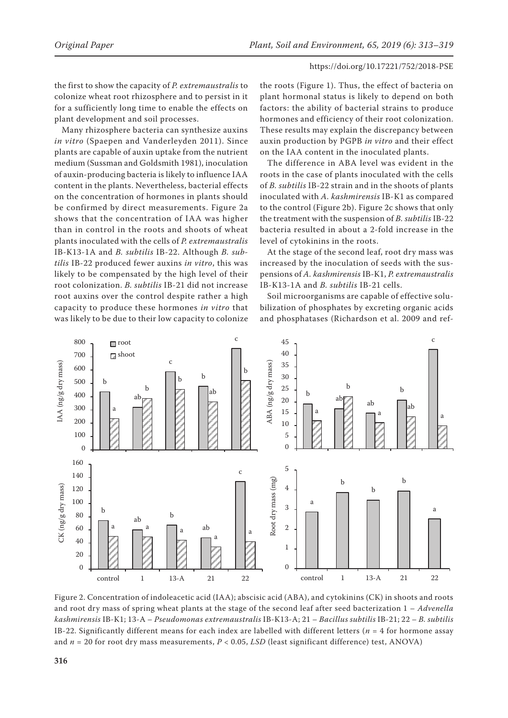the first to show the capacity of *P. extremaustralis* to colonize wheat root rhizosphere and to persist in it for a sufficiently long time to enable the effects on plant development and soil processes.

Many rhizosphere bacteria can synthesize auxins *in vitro* (Spaepen and Vanderleyden 2011). Since plants are capable of auxin uptake from the nutrient medium (Sussman and Goldsmith 1981), inoculation of auxin-producing bacteria is likely to influence IAA content in the plants. Nevertheless, bacterial effects on the concentration of hormones in plants should be confirmed by direct measurements. Figure 2a shows that the concentration of IAA was higher than in control in the roots and shoots of wheat plants inoculated with the cells of *P. extremaustralis* IB-К13-1А and *B. subtilis* IB-22. Although *B. subtilis* IB-22 produced fewer auxins *in vitro*, this was likely to be compensated by the high level of their root colonization. *B. subtilis* IB-21 did not increase root auxins over the control despite rather a high capacity to produce these hormones *in vitro* that was likely to be due to their low capacity to colonize

the roots (Figure 1). Thus, the effect of bacteria on plant hormonal status is likely to depend on both factors: the ability of bacterial strains to produce hormones and efficiency of their root colonization. These results may explain the discrepancy between auxin production by PGPB *in vitro* and their effect on the IAA content in the inoculated plants.

The difference in ABA level was evident in the roots in the case of plants inoculated with the cells of *B. subtilis* IB-22 strain and in the shoots of plants inoculated with *A. kashmirensis* IB-К1 as compared to the control (Figure 2b). Figure 2c shows that only the treatment with the suspension of *B. subtilis* IB-22 bacteria resulted in about a 2-fold increase in the level of cytokinins in the roots.

At the stage of the second leaf, root dry mass was increased by the inoculation of seeds with the suspensions of *A. kashmirensis* IB-К1, *P. extremaustralis* IB-К13-1А and *B. subtilis* IB-21 cells.

Soil microorganisms are capable of effective solubilization of phosphates by excreting organic acids and phosphatases (Richardson et al. 2009 and ref-



Figure 2. Concentration of indoleacetic acid (IAA); abscisic acid (ABA), and cytokinins (CK) in shoots and roots and root dry mass of spring wheat plants at the stage of the second leaf after seed bacterization 1 – *Advenella kashmirensis* IB-K1; 13-A – *Pseudomonas extremaustralis* IB-K13-А; 21 – *Bacillus subtilis* IB-21; 22 – *B. subtilis* IB-22. Significantly different means for each index are labelled with different letters ( $n = 4$  for hormone assay and *n* = 20 for root dry mass measurements, *P* < 0.05, *LSD* (least significant difference) test, ANOVA)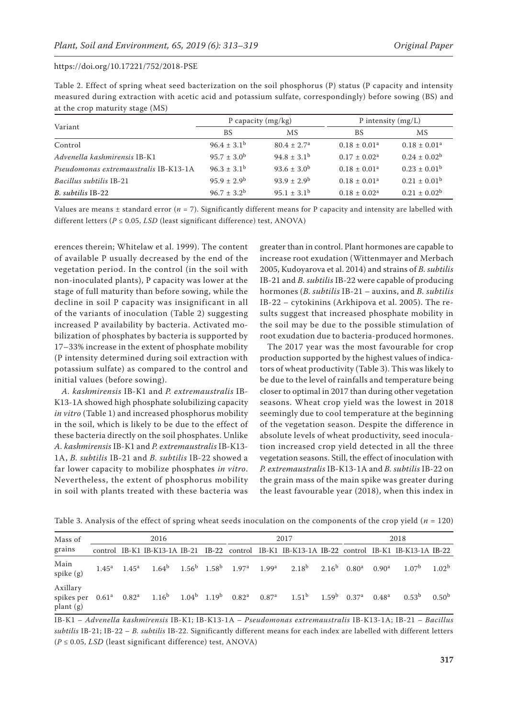| Table 2. Effect of spring wheat seed bacterization on the soil phosphorus $(P)$ status $(P)$ capacity and intensity |
|---------------------------------------------------------------------------------------------------------------------|
| measured during extraction with acetic acid and potassium sulfate, correspondingly) before sowing (BS) and          |
| at the crop maturity stage (MS)                                                                                     |

|                                       |                        | P capacity $(mg/kg)$   | P intensity $(mg/L)$ |                         |  |
|---------------------------------------|------------------------|------------------------|----------------------|-------------------------|--|
| Variant                               | BS                     | МS                     | BS                   | MS                      |  |
| Control                               | $96.4 \pm 3.1^{\rm b}$ | $80.4 \pm 2.7^{\circ}$ | $0.18 \pm 0.01^a$    | $0.18 \pm 0.01^a$       |  |
| Advenella kashmirensis IB-K1          | $95.7 \pm 3.0^{\rm b}$ | $94.8 \pm 3.1^{\rm b}$ | $0.17 + 0.02a$       | $0.24 \pm 0.02^b$       |  |
| Pseudomonas extremaustralis IB-K13-1A | $96.3 \pm 3.1^{\rm b}$ | $93.6 \pm 3.0^b$       | $0.18 \pm 0.01^a$    | $0.23 \pm 0.01^{\rm b}$ |  |
| Bacillus subtilis IB-21               | $95.9 \pm 2.9^{\rm b}$ | $93.9 + 2.9^b$         | $0.18 \pm 0.01^a$    | $0.21 \pm 0.01^{\rm b}$ |  |
| B. subtilis IB-22                     | $96.7 \pm 3.2^b$       | $95.1 \pm 3.1^{\rm b}$ | $0.18 \pm 0.02^a$    | $0.21 \pm 0.02^b$       |  |

Values are means ± standard error (*n* = 7). Significantly different means for P capacity and intensity are labelled with different letters ( $P \le 0.05$ , *LSD* (least significant difference) test, ANOVA)

erences therein; Whitelaw et al. 1999). The content of available P usually decreased by the end of the vegetation period. In the control (in the soil with non-inoculated plants), P capacity was lower at the stage of full maturity than before sowing, while the decline in soil P capacity was insignificant in all of the variants of inoculation (Table 2) suggesting increased P availability by bacteria. Activated mobilization of phosphates by bacteria is supported by 17–33% increase in the extent of phosphate mobility (P intensity determined during soil extraction with potassium sulfate) as compared to the control and initial values (before sowing).

*A. kashmirensis* IB-К1 and *P. extremaustralis* IB-К13-1А showed high phosphate solubilizing capacity *in vitro* (Table 1) and increased phosphorus mobility in the soil, which is likely to be due to the effect of these bacteria directly on the soil phosphates. Unlike *A. kashmirensis* IB-К1 and *P. extremaustralis* IB-К13- 1А, *B. subtilis* IB-21 and *B. subtilis* IB-22 showed a far lower capacity to mobilize phosphates *in vitro*. Nevertheless, the extent of phosphorus mobility in soil with plants treated with these bacteria was

greater than in control. Plant hormones are capable to increase root exudation (Wittenmayer and Merbach 2005, Kudoyarova et al. 2014) and strains of *B. subtilis* IB-21 and *B. subtilis* IB-22 were capable of producing hormones (*B. subtilis* IB-21 – auxins, and *B. subtilis* IB-22 – cytokinins (Arkhipova et al. 2005). The results suggest that increased phosphate mobility in the soil may be due to the possible stimulation of root exudation due to bacteria-produced hormones.

The 2017 year was the most favourable for crop production supported by the highest values of indicators of wheat productivity (Table 3). This was likely to be due to the level of rainfalls and temperature being closer to optimal in 2017 than during other vegetation seasons. Wheat crop yield was the lowest in 2018 seemingly due to cool temperature at the beginning of the vegetation season. Despite the difference in absolute levels of wheat productivity, seed inoculation increased crop yield detected in all the three vegetation seasons. Still, the effect of inoculation with *P. extremaustralis* IB-К13-1А and *B. subtilis* IB-22 on the grain mass of the main spike was greater during the least favourable year (2018), when this index in

| Mass of<br>grains                      | 2016              |  |                                                                            |  | 2017 |  |            | 2018                                                                                            |            |                           |                   |                   |                   |
|----------------------------------------|-------------------|--|----------------------------------------------------------------------------|--|------|--|------------|-------------------------------------------------------------------------------------------------|------------|---------------------------|-------------------|-------------------|-------------------|
|                                        |                   |  |                                                                            |  |      |  |            | control IB-K1 IB-K13-1A IB-21 IB-22 control IB-K1 IB-K13-1A IB-22 control IB-K1 IB-K13-1A IB-22 |            |                           |                   |                   |                   |
| Main<br>spike (g)                      | $1.45^a$ $1.45^a$ |  | $1.64^{\rm b}$ $1.56^{\rm b}$ $1.58^{\rm b}$ $1.97^{\rm a}$ $1.99^{\rm a}$ |  |      |  |            | $2.18^{b}$                                                                                      | $2.16^{b}$ | $0.80^{a}$                | 0.90 <sup>a</sup> | 1.07 <sup>b</sup> | 1.02 <sup>b</sup> |
| Axillary<br>spikes per<br>$plan{f(g)}$ |                   |  | $0.61^a$ $0.82^a$ $1.16^b$ $1.04^b$ $1.19^b$ $0.82^a$                      |  |      |  | $0.87^{a}$ | 1.51 <sup>b</sup>                                                                               |            | $1.59b$ 0.37 <sup>a</sup> | 0.48 <sup>a</sup> | 0.53 <sup>b</sup> | 0.50 <sup>b</sup> |

Table 3. Analysis of the effect of spring wheat seeds inoculation on the components of the crop yield (*n* = 120)

IB-K1 – *Advenella kashmirensis* IB-K1; IB-K13-1А – *Pseudomonas extremaustralis* IB-K13-1А; IB-21 – *Bacillus subtilis* IB-21; IB-22 – *B. subtilis* IB-22. Significantly different means for each index are labelled with different letters (*P* ≤ 0.05, *LSD* (least significant difference) test, ANOVA)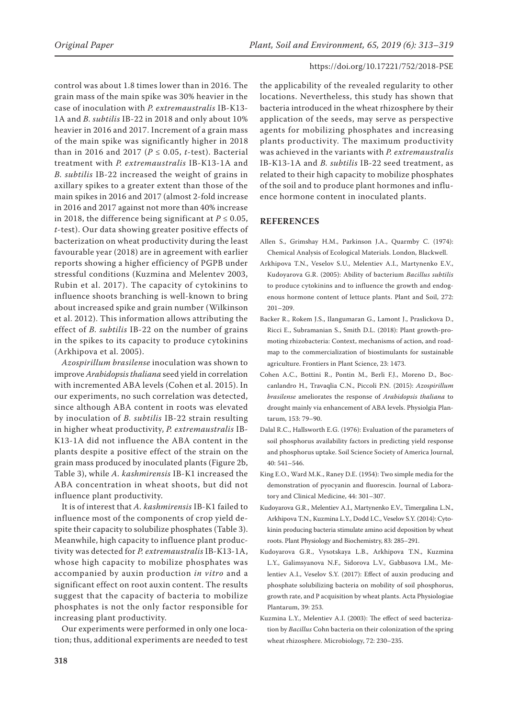control was about 1.8 times lower than in 2016. The grain mass of the main spike was 30% heavier in the case of inoculation with *P. extremaustralis* IB-К13- 1А and *B. subtilis* IB-22 in 2018 and only about 10% heavier in 2016 and 2017. Increment of a grain mass of the main spike was significantly higher in 2018 than in 2016 and 2017 ( $P \le 0.05$ , *t*-test). Bacterial treatment with *P. extremaustralis* IB-К13-1А and *B. subtilis* IB-22 increased the weight of grains in axillary spikes to a greater extent than those of the main spikes in 2016 and 2017 (almost 2-fold increase in 2016 and 2017 against not more than 40% increase in 2018, the difference being significant at  $P \le 0.05$ , *t*-test). Our data showing greater positive effects of bacterization on wheat productivity during the least favourable year (2018) are in agreement with earlier reports showing a higher efficiency of PGPB under stressful conditions (Kuzmina and Melentev 2003, Rubin et al. 2017). The capacity of cytokinins to influence shoots branching is well-known to bring about increased spike and grain number (Wilkinson et al. 2012). This information allows attributing the effect of *B. subtilis* IB-22 on the number of grains in the spikes to its capacity to produce cytokinins (Arkhipova et al. 2005).

*Azospirillum brasilense* inoculation was shown to improve *Arabidopsis thaliana* seed yield in correlation with incremented ABA levels (Cohen et al. 2015). In our experiments, no such correlation was detected, since although ABA content in roots was elevated by inoculation of *B. subtilis* IB-22 strain resulting in higher wheat productivity, *P. extremaustralis* IB-К13-1А did not influence the ABA content in the plants despite a positive effect of the strain on the grain mass produced by inoculated plants (Figure 2b, Table 3), while *A. kashmirensis* IB-К1 increased the ABA concentration in wheat shoots, but did not influence plant productivity.

It is of interest that *A. kashmirensis* IB-К1 failed to influence most of the components of crop yield despite their capacity to solubilize phosphates (Table 3). Meanwhile, high capacity to influence plant productivity was detected for *P. extremaustralis* IB-К13-1А, whose high capacity to mobilize phosphates was accompanied by auxin production *in vitro* and a significant effect on root auxin content. The results suggest that the capacity of bacteria to mobilize phosphates is not the only factor responsible for increasing plant productivity.

Our experiments were performed in only one location; thus, additional experiments are needed to test

the applicability of the revealed regularity to other locations. Nevertheless, this study has shown that bacteria introduced in the wheat rhizosphere by their application of the seeds, may serve as perspective agents for mobilizing phosphates and increasing plants productivity. The maximum productivity was achieved in the variants with *P. extremaustralis* IB-К13-1А and *B. subtilis* IB-22 seed treatment, as related to their high capacity to mobilize phosphates of the soil and to produce plant hormones and influence hormone content in inoculated plants.

## **REFERENCES**

- Allen S., Grimshay H.M., Parkinson J.A., Quarmby C. (1974): Chemical Analysis of Ecological Materials. London, Blackwell.
- Arkhipova T.N., Veselov S.U., Melentiev A.I., Martynenko E.V., Kudoyarova G.R. (2005): Ability of bacterium *Bacillus subtilis* to produce cytokinins and to influence the growth and endogenous hormone content of lettuce plants. Plant and Soil, 272: 201–209.
- Backer R., Rokem J.S., Ilangumaran G., Lamont J., Praslickova D., Ricci E., Subramanian S., Smith D.L. (2018): Plant growth-promoting rhizobacteria: Context, mechanisms of action, and roadmap to the commercialization of biostimulants for sustainable agriculture. Frontiers in Plant Science, 23: 1473.
- Cohen A.C., Bottini R., Pontin M., Berli F.J., Moreno D., Boccanlandro H., Travaqlia C.N., Piccoli P.N. (2015): *Azospirillum brasilense* ameliorates the response of *Arabidopsis thaliana* to drought mainly via enhancement of ABA levels. Physiolgia Plantarum, 153: 79–90.
- Dalal R.C., Hallsworth E.G. (1976): Evaluation of the parameters of soil phosphorus availability factors in predicting yield response and phosphorus uptake. Soil Science Society of America Journal, 40: 541–546.
- King E.O., Ward M.K., Raney D.E. (1954): Two simple media for the demonstration of pyocyanin and fluorescin. Journal of Laboratory and Clinical Medicine, 44: 301–307.
- Kudoyarova G.R., Melentiev A.I., Martynenko E.V., Timergalina L.N., Arkhipova T.N., Kuzmina L.Y., Dodd I.C., Veselov S.Y. (2014): Cytokinin producing bacteria stimulate amino acid deposition by wheat roots. Plant Physiology and Biochemistry, 83: 285–291.
- Kudoyarova G.R., Vysotskaya L.B., Arkhipova T.N., Kuzmina L.Y., Galimsyanova N.F., Sidorova L.V., Gabbasova I.M., Melentiev A.I., Veselov S.Y. (2017): Effect of auxin producing and phosphate solubilizing bacteria on mobility of soil phosphorus, growth rate, and P acquisition by wheat plants. Acta Physiologiae Plantarum, 39: 253.
- Kuzmina L.Y., Melentiev A.I. (2003): The effect of seed bacterization by *Bacillus* Cohn bacteria on their colonization of the spring wheat rhizosphere. Microbiology, 72: 230–235.